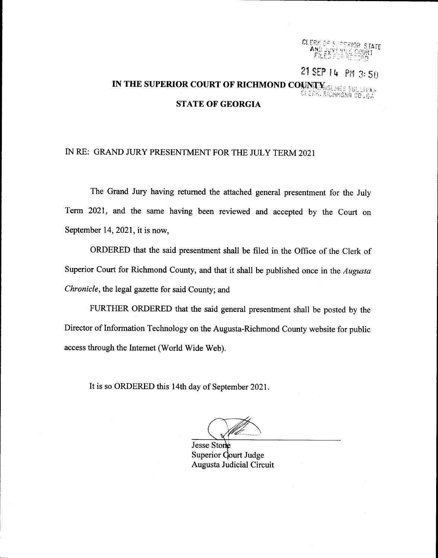**CLERK OF SUPERIOR STATE** AND ULVER

## 21 SEP 14 PM 3:50 IN THE SUPERIOR COURT OF RICHMOND COUNTY FOLLOWS SULLIVAN CLEAR, BICHMONA CO., GA **STATE OF GEORGIA**

## IN RE: GRAND JURY PRESENTMENT FOR THE JULY TERM 2O2I

The Grand Jury having returned the attached general presentment for the July Term 2021, and the same having been reviewed and accepted by the Court on September 14, 2021, it is now,

ORDERED that the said presentment shall be filed in the Office of the Clerk of Superior Court for Richmond County, and that it shall be published once in the *Augusta* Chronicle, the legal gazette for said County; and

FURTHER ORDERED that the said general presentment shall be posted by the Director of Information Technology on the Augusta-Richmond County website for public access through the Internet (World Wide Web).

It is so ORDERED this 14th day of September 2021.

Jesse Stone<br>Superior Court Judge Augusta Judicial Circuit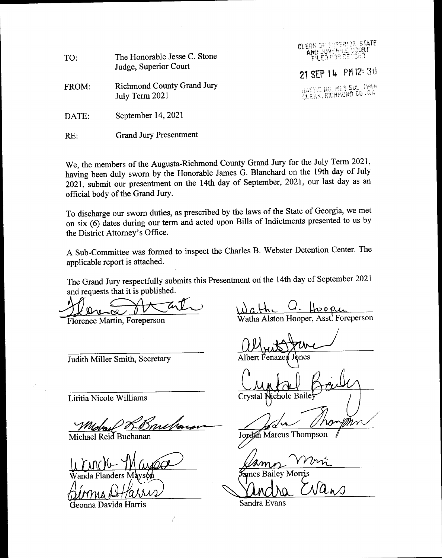| TO:   | The Honorable Jesse C. Stone<br>Judge, Superior Court | CLERK OF SUPERIOR STATE                          |
|-------|-------------------------------------------------------|--------------------------------------------------|
|       |                                                       | 21 SEP 14 PM 12:30                               |
| FROM: | <b>Richmond County Grand Jury</b><br>July Term 2021   | HATTIE BOLHES SULLIVAN<br>CLERK, RICHMOHD CO .GA |
| DATE: | September 14, 2021                                    |                                                  |

RE: Grand Jury Presentment

We, the members of the Augusta-Richmond County Grand Jury for the July Term 2021, having been duly sworn by the Honorable James G. Blanchard on the 19th day of July 2021, submit our presentment on the 14th day of Septembet, 2021, our last day as an official body of the Grand Jury.

To discharge our sworn duties, as prescribed by the laws of the State of Georgia, we met on six (6) dates during our term and acted upon Bills of Indictments presented to us by the District Attomey's Office.

A Sub-Committee was formed to inspect the Charles B. Webster Detention Center. The applicable report is attached.

The Grand Jury respectfully submits this Presentment ori the 14th day of September 2021 and requests that it is published.

Florence Martin, Foreperson

Judith Miller Smith, Secretary

Lititia Nicole Williams

 $\bigg)$ 

Michael Reid Buchanan

anda Flanders

Geonna Davida Harris

Wath Q. Hoope

Albert Fenazea

Crvsta

Jordan Marcus Thompson

mes Bailey Mo

Sandra Evans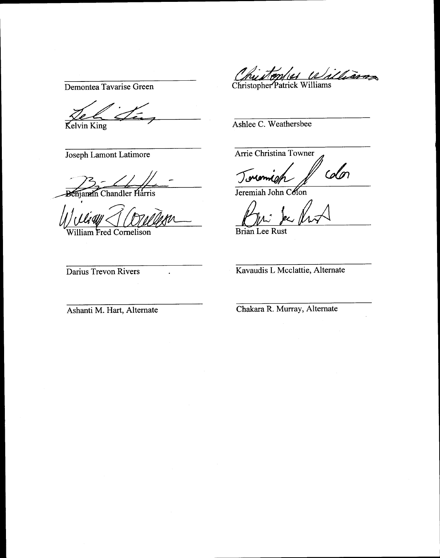Demontea Tavarise Green

Kelvin King

Joseph Lamont Latimore

Benjamin Chandler Harris

Villiam Fred Cornelison

illians Ist 12 Christopher Patrick Williams

Ashlee C. Weathersbee

Arrie Christina Towner

 $\omega$ 

Jeremiah John Colon

Brian Lee Rust

Darius Trevon Rivers . Kavaudis L Mcclattie, Alternate

Ashanti M. Hart, Altemate Chakara R. Murray, Alternate